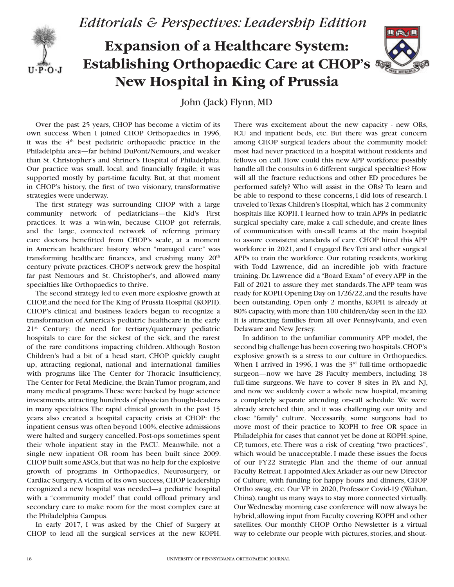

## **Expansion of a Healthcare System: Establishing Orthopaedic Care at CHOP's New Hospital in King of Prussia**



John (Jack) Flynn, MD

Over the past 25 years, CHOP has become a victim of its own success. When I joined CHOP Orthopaedics in 1996, it was the 4<sup>th</sup> best pediatric orthopaedic practice in the Philadelphia area—far behind DuPont/Nemours, and weaker than St. Christopher's and Shriner's Hospital of Philadelphia. Our practice was small, local, and financially fragile; it was supported mostly by part-time faculty. But, at that moment in CHOP's history, the first of two visionary, transformative strategies were underway.

The first strategy was surrounding CHOP with a large community network of pediatricians—the Kid's First practices. It was a win-win, because CHOP got referrals, and the large, connected network of referring primary care doctors benefitted from CHOP's scale, at a moment in American healthcare history when "managed care" was transforming healthcare finances, and crushing many  $20<sup>th</sup>$ century private practices. CHOP's network grew the hospital far past Nemours and St. Christopher's, and allowed many specialties like Orthopaedics to thrive.

The second strategy led to even more explosive growth at CHOP, and the need for The King of Prussia Hospital (KOPH). CHOP's clinical and business leaders began to recognize a transformation of America's pediatric healthcare in the early 21<sup>st</sup> Century: the need for tertiary/quaternary pediatric hospitals to care for the sickest of the sick, and the rarest of the rare conditions impacting children. Although Boston Children's had a bit of a head start, CHOP quickly caught up, attracting regional, national and international families with programs like The Center for Thoracic Insufficiency, The Center for Fetal Medicine, the Brain Tumor program, and many medical programs. These were backed by huge science investments, attracting hundreds of physician thought-leaders in many specialties. The rapid clinical growth in the past 15 years also created a hospital capacity crisis at CHOP: the inpatient census was often beyond 100%, elective admissions were halted and surgery cancelled. Post-ops sometimes spent their whole inpatient stay in the PACU. Meanwhile, not a single new inpatient OR room has been built since 2009. CHOP built some ASCs, but that was no help for the explosive growth of programs in Orthopaedics, Neurosurgery, or Cardiac Surgery. A victim of its own success, CHOP leadership recognized a new hospital was needed—a pediatric hospital with a "community model" that could offload primary and secondary care to make room for the most complex care at the Philadelphia Campus.

In early 2017, I was asked by the Chief of Surgery at CHOP to lead all the surgical services at the new KOPH. There was excitement about the new capacity - new ORs, ICU and inpatient beds, etc. But there was great concern among CHOP surgical leaders about the community model: most had never practiced in a hospital without residents and fellows on call. How could this new APP workforce possibly handle all the consults in 6 different surgical specialties? How will all the fracture reductions and other ED procedures be performed safely? Who will assist in the ORs? To learn and be able to respond to these concerns, I did lots of research. I traveled to Texas Children's Hospital, which has 2 community hospitals like KOPH. I learned how to train APPs in pediatric surgical specialty care, make a call schedule, and create lines of communication with on-call teams at the main hospital to assure consistent standards of care. CHOP hired this APP workforce in 2021, and I engaged Bev Teti and other surgical APPs to train the workforce. Our rotating residents, working with Todd Lawrence, did an incredible job with fracture training. Dr. Lawrence did a "Board Exam" of every APP in the Fall of 2021 to assure they met standards. The APP team was ready for KOPH Opening Day on 1/26/22, and the results have been outstanding. Open only 2 months, KOPH is already at 80% capacity, with more than 100 children/day seen in the ED. It is attracting families from all over Pennsylvania, and even Delaware and New Jersey.

In addition to the unfamiliar community APP model, the second big challenge has been covering two hospitals. CHOP's explosive growth is a stress to our culture in Orthopaedics. When I arrived in 1996, I was the  $3<sup>rd</sup>$  full-time orthopaedic surgeon—now we have 28 Faculty members, including 18 full-time surgeons. We have to cover 8 sites in PA and NJ, and now we suddenly cover a whole new hospital, meaning a completely separate attending on-call schedule. We were already stretched thin, and it was challenging our unity and close "family" culture. Necessarily, some surgeons had to move most of their practice to KOPH to free OR space in Philadelphia for cases that cannot yet be done at KOPH: spine, CP, tumors, etc. There was a risk of creating "two practices", which would be unacceptable. I made these issues the focus of our FY22 Strategic Plan and the theme of our annual Faculty Retreat. I appointed Alex Arkader as our new Director of Culture, with funding for happy hours and dinners, CHOP Ortho swag, etc. Our VP in 2020, Professor Covid-19 (Wuhan, China), taught us many ways to stay more connected virtually. Our Wednesday morning case conference will now always be hybrid, allowing input from Faculty covering KOPH and other satellites. Our monthly CHOP Ortho Newsletter is a virtual way to celebrate our people with pictures, stories, and shout